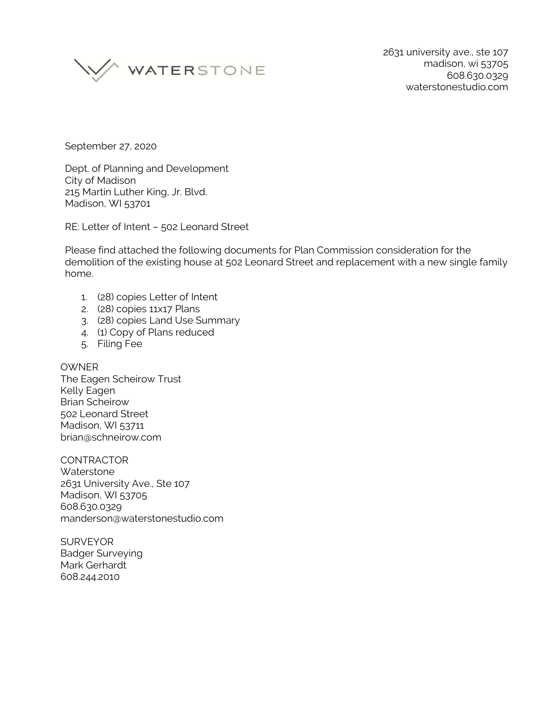

September 27, 2020

Dept. of Planning and Development City of Madison 215 Martin Luther King, Jr. Blvd. Madison, WI 53701

RE: Letter of Intent – 502 Leonard Street

Please find attached the following documents for Plan Commission consideration for the demolition of the existing house at 502 Leonard Street and replacement with a new single family home.

- 1. (28) copies Letter of Intent
- 2. (28) copies 11x17 Plans
- 3. (28) copies Land Use Summary
- 4. (1) Copy of Plans reduced
- 5. Filing Fee

## **OWNER**

The Eagen Scheirow Trust Kelly Eagen Brian Scheirow 502 Leonard Street Madison, WI 53711 brian@schneirow.com

**CONTRACTOR Waterstone** 2631 University Ave., Ste 107 Madison, WI 53705 608.630.0329 manderson@waterstonestudio.com

**SURVEYOR** Badger Surveying Mark Gerhardt 608.244.2010